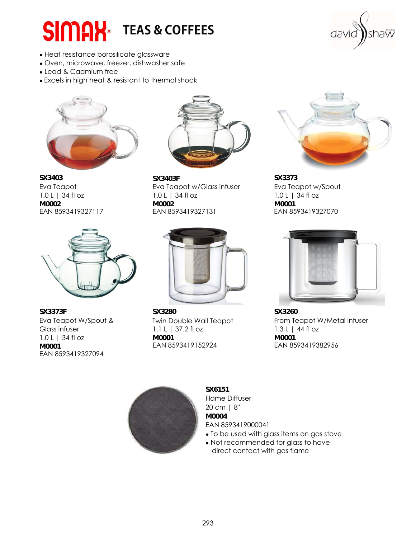## **SIMAX** TEAS & COFFEES

shaw davic

- Heat resistance borosilicate glassware
- Oven, microwave, freezer, dishwasher safe
- Lead & Cadmium free
- Excels in high heat & resistant to thermal shock





**M0001** EAN 8593419152924 EAN 8593419327094



**SX3403 SX3403F SX3373**  Eva Teapot Eva Teapot w/Glass infuser Eva Teapot w/Spout 1.0 L | 34 fl oz 1.0 L | 34 fl oz 1.0 L | 34 fl oz 1.0 L | 34 fl oz **M0002 M0002 M0001** EAN 8593419327117 EAN 8593419327131 EAN 8593419327070



**SX3373F SX3280 SX3260**  Glass infuser 1.1 L | 37.2 fl oz 1.3 L | 44 fl oz 1.0 L | 34 fl oz **M0001 M0001**





Eva Teapot W/Spout & Twin Double Wall Teapot From Teapot W/Metal infuser



**SX6151** Flame Diffuser 20 cm | 8" **M0004**  EAN 8593419000041

- To be used with glass items on gas stove
- Not recommended for glass to have direct contact with gas flame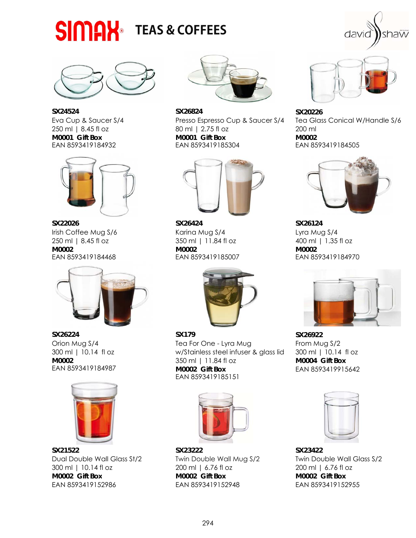







**SX22026 SX26424 SX26124**  Irish Coffee Mug S/6 Karina Mug S/4 Lyra Mug S/4 250 ml | 8.45 fl oz 350 ml | 11.84 fl oz 400 ml | 1.35 fl oz **M0002 M0002 M0002**  EAN 8593419184468 EAN 8593419185007 EAN 8593419184970





**SX21522 SX23222 SX23422**  Dual Double Wall Glass St/2 Twin Double Wall Mug S/2 Twin Double Wall Glass S/2 300 ml | 10.14 fl oz 200 ml | 6.76 fl oz 200 ml | 6.76 fl oz **M0002 Gift Box M0002 Gift Box M0002 Gift Box** EAN 8593419152986 EAN 8593419152948 EAN 8593419152955



**SX24524 SX26824 SX20226**  250 ml | 8.45 fl oz 80 ml | 2.75 fl oz 200 ml **M0001 Gift Box M0001 Gift Box M0002**  EAN 8593419185304





**SX26224 SX179 SX26922**  Orion Mug S/4 Tea For One - Lyra Mug Trom Mug S/2 300 ml | 10.14 fl oz w/Stainless steel infuser & glass lid 300 ml | 10.14 fl oz **M0002 11.84 fl oz M0002 <b>M0004 Gift Box**<br> **EAN 8593419184987 M0002 Gift Box EAN 8593419915 M0002 Gift Box** EAN 8593419915642 EAN 8593419185151





Eva Cup & Saucer S/4 Presso Espresso Cup & Saucer S/4 Tea Glass Conical W/Handle S/6





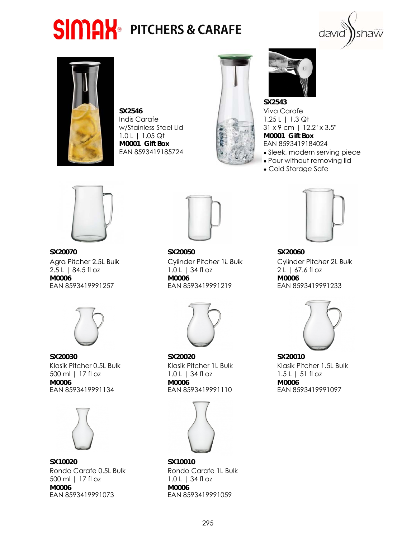## **SIMAX** PITCHERS & CARAFE





**SX2546** Viva Carafe Indis Carafe 2.25 L | 1.3 Qt 1.0 L | 1.05 Qt **M0001 Gift Box M0001 Gift Box EAN 8593419184024** EAN 8593419185724 **BEAN 8593419185724** 



**SX2543**  w/Stainless Steel Lid 31 x 9 cm | 12.2" x 3.5"

- 
- Pour without removing lid
- Cold Storage Safe





**SX20030 SX20020 SX20010**  500 ml | 17 fl oz  $1.0 L$  | 34 fl oz  $1.5 L$  | 51 fl oz  $1.5 L$  | 51 fl oz **M0006 M0006 M0006** EAN 8593419991134 EAN 8593419991110 EAN 8593419991097



**SX10020 SX10010**  Rondo Carafe 0.5L Bulk Rondo Carafe 1L Bulk 500 ml | 17 fl oz 1.0 L | 34 fl oz **M0006 M0006 M0006 EAN 8593419991059** EAN 8593419991073



**SX20070 SX20050 SX20060 M0006 M0006 M0006** EAN 8593419991257 EAN 8593419991219 EAN 8593419991233







Agra Pitcher 2.5L Bulk Cylinder Pitcher 1L Bulk Cylinder Pitcher 2L Bulk Agra Pitcher 2.5L Bulk Cylinder Pitcher 1L Bulk Cylinder Pitcher 2L Bulk<br>2.5 L | 84.5 fl oz 1.0 L | 34 fl oz 2 L | 67.6 fl oz



Klasik Pitcher 0.5L Bulk Klasik Pitcher 1L Bulk Klasik Pitcher 1.5L Bulk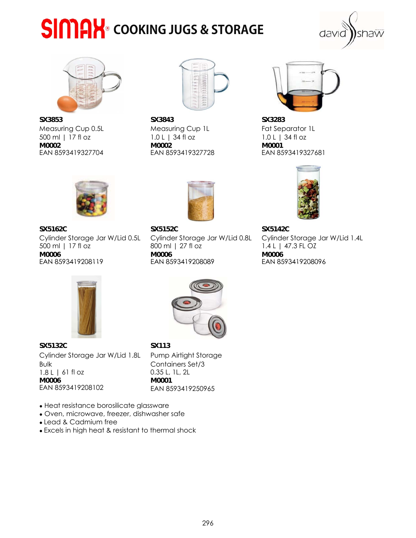## **SIMAX** COOKING JUGS & STORAGE





**SX3853 SX3843 SX3283**  Measuring Cup 0.5L Measuring Cup 1L Fat Separator 1L 500 ml | 17 fl oz 1.0 L | 34 fl oz 1.0 L | 34 fl oz **M0002 M0002 M0001** EAN 8593419327704 EAN 8593419327728 EAN 8593419327681







**SX5162C SX5152C SX5142C**  500 ml | 17 fl oz 800 ml | 27 fl oz 1.4 L | 47.3 FL OZ **M0006 M0006 M0006** EAN 8593419208119 EAN 8593419208089 EAN 8593419208096 EAN 85934192081198593419208096Cylinder Storage Jar W/Lid 0.5L Cylinder Storage Jar W/Lid 0.8L Cylinder Storage Jar W/Lid 1.4L







**SX5132C SX113**  1.8 L | 61 fl oz 0.35 L, 1L, 2L **M0006 M0001** Cylinder Storage Jar W/Lid 1.8L Bulk



EAN 8593419250965 Pump Airtight Storage Containers Set/3

- Heat resistance borosilicate glassware
- Oven, microwave, freezer, dishwasher safe
- Lead & Cadmium free
- Excels in high heat & resistant to thermal shock